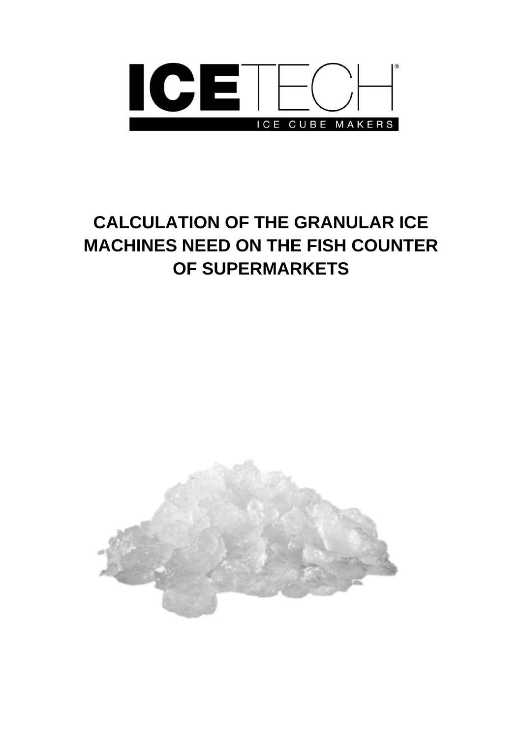

# **CALCULATION OF THE GRANULAR ICE MACHINES NEED ON THE FISH COUNTER OF SUPERMARKETS**

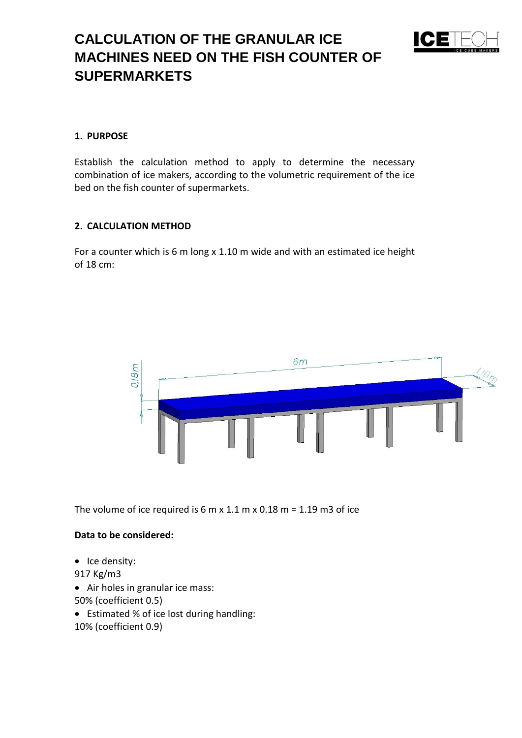# **CALCULATION OF THE GRANULAR ICE MACHINES NEED ON THE FISH COUNTER OF SUPERMARKETS**



### **1. PURPOSE**

Establish the calculation method to apply to determine the necessary combination of ice makers, according to the volumetric requirement of the ice bed on the fish counter of supermarkets.

#### **2. CALCULATION METHOD**

For a counter which is 6 m long x 1.10 m wide and with an estimated ice height of 18 cm:



The volume of ice required is  $6 \text{ m} \times 1.1 \text{ m} \times 0.18 \text{ m} = 1.19 \text{ m}$ 3 of ice

#### **Data to be considered:**

- Ice density:
- 917 Kg/m3
- Air holes in granular ice mass:
- 50% (coefficient 0.5)
- Estimated % of ice lost during handling:
- 10% (coefficient 0.9)